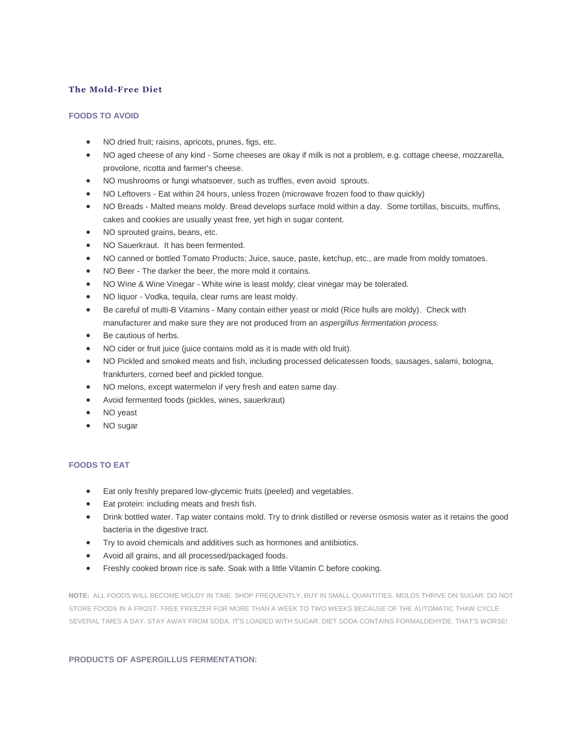## **The Mold-Free Diet**

## **FOODS TO AVOID**

- NO dried fruit; raisins, apricots, prunes, figs, etc.
- NO aged cheese of any kind Some cheeses are okay if milk is not a problem, e.g. cottage cheese, mozzarella, provolone, ricotta and farmer's cheese.
- NO mushrooms or fungi whatsoever, such as truffles, even avoid sprouts.
- NO Leftovers Eat within 24 hours, unless frozen (microwave frozen food to thaw quickly)
- NO Breads Malted means moldy. Bread develops surface mold within a day. Some tortillas, biscuits, muffins, cakes and cookies are usually yeast free, yet high in sugar content.
- NO sprouted grains, beans, etc.
- NO Sauerkraut. It has been fermented.
- NO canned or bottled Tomato Products; Juice, sauce, paste, ketchup, etc., are made from moldy tomatoes.
- NO Beer The darker the beer, the more mold it contains.
- NO Wine & Wine Vinegar White wine is least moldy; clear vinegar may be tolerated.
- NO liquor Vodka, tequila, clear rums are least moldy.
- Be careful of multi-B Vitamins Many contain either yeast or mold (Rice hulls are moldy). Check with manufacturer and make sure they are not produced from an *aspergillus fermentation process.*
- Be cautious of herbs.
- NO cider or fruit juice (juice contains mold as it is made with old fruit).
- NO Pickled and smoked meats and fish, including processed delicatessen foods, sausages, salami, bologna, frankfurters, corned beef and pickled tongue.
- NO melons, except watermelon if very fresh and eaten same day.
- Avoid fermented foods (pickles, wines, sauerkraut)
- NO yeast
- NO sugar

## **FOODS TO EAT**

- Eat only freshly prepared low-glycemic fruits (peeled) and vegetables.
- Eat protein: including meats and fresh fish.
- Drink bottled water. Tap water contains mold. Try to drink distilled or reverse osmosis water as it retains the good bacteria in the digestive tract.
- Try to avoid chemicals and additives such as hormones and antibiotics.
- Avoid all grains, and all processed/packaged foods.
- Freshly cooked brown rice is safe. Soak with a little Vitamin C before cooking.

**NOTE:** ALL FOODS WILL BECOME MOLDY IN TIME. SHOP FREQUENTLY, BUY IN SMALL QUANTITIES. MOLDS THRIVE ON SUGAR. DO NOT STORE FOODS IN A FROST- FREE FREEZER FOR MORE THAN A WEEK TO TWO WEEKS BECAUSE OF THE AUTOMATIC THAW CYCLE SEVERAL TIMES A DAY. STAY AWAY FROM SODA. IT'S LOADED WITH SUGAR. DIET SODA CONTAINS FORMALDEHYDE. THAT'S WORSE!

## **[PRODUCTS OF ASPERGILLUS FERMENTATION:](https://web.archive.org/web/20160514005356/http:/www.mold-survivor.com/dietcopyright.htm)**